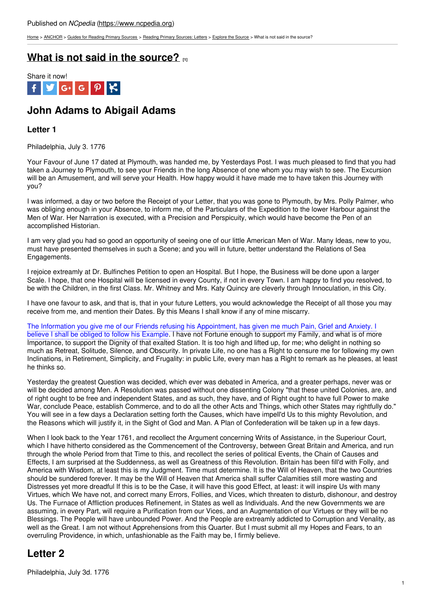[Home](https://www.ncpedia.org/) > [ANCHOR](https://www.ncpedia.org/anchor/anchor) > Guides for [Reading](https://www.ncpedia.org/anchor/guides-reading-primary) Primary Sources > Reading Primary [Sources:](https://www.ncpedia.org/anchor/reading-primary-sources-2) Letters > [Explore](https://www.ncpedia.org/anchor/explore-source-0) the Source > What is not said in the source?

### **What is not said in the [source?](https://www.ncpedia.org/anchor/what-not-said-source-1) [1]**



# **John Adams to Abigail Adams**

### **Letter 1**

Philadelphia, July 3. 1776

Your Favour of June 17 dated at Plymouth, was handed me, by Yesterdays Post. I was much pleased to find that you had taken a Journey to Plymouth, to see your Friends in the long Absence of one whom you may wish to see. The Excursion will be an Amusement, and will serve your Health. How happy would it have made me to have taken this Journey with you?

I was informed, a day or two before the Receipt of your Letter, that you was gone to Plymouth, by Mrs. Polly Palmer, who was obliging enough in your Absence, to inform me, of the Particulars of the Expedition to the lower Harbour against the Men of War. Her Narration is executed, with a Precision and Perspicuity, which would have become the Pen of an accomplished Historian.

I am very glad you had so good an opportunity of seeing one of our little American Men of War. Many Ideas, new to you, must have presented themselves in such a Scene; and you will in future, better understand the Relations of Sea Engagements.

I rejoice extreamly at Dr. Bulfinches Petition to open an Hospital. But I hope, the Business will be done upon a larger Scale. I hope, that one Hospital will be licensed in every County, if not in every Town. I am happy to find you resolved, to be with the Children, in the first Class. Mr. Whitney and Mrs. Katy Quincy are cleverly through Innoculation, in this City.

I have one favour to ask, and that is, that in your future Letters, you would acknowledge the Receipt of all those you may receive from me, and mention their Dates. By this Means I shall know if any of mine miscarry.

The Information you give me of our Friends refusing his Appointment, has given me much Pain, Grief and Anxiety. I believe I shall be obliged to follow his Example. I have not Fortune enough to support my Family, and what is of more Importance, to support the Dignity of that exalted Station. It is too high and lifted up, for me; who delight in nothing so much as Retreat, Solitude, Silence, and Obscurity. In private Life, no one has a Right to censure me for following my own Inclinations, in Retirement, Simplicity, and Frugality: in public Life, every man has a Right to remark as he pleases, at least he thinks so.

Yesterday the greatest Question was decided, which ever was debated in America, and a greater perhaps, never was or will be decided among Men. A Resolution was passed without one dissenting Colony "that these united Colonies, are, and of right ought to be free and independent States, and as such, they have, and of Right ought to have full Power to make War, conclude Peace, establish Commerce, and to do all the other Acts and Things, which other States may rightfully do." You will see in a few days a Declaration setting forth the Causes, which have impell'd Us to this mighty Revolution, and the Reasons which will justify it, in the Sight of God and Man. A Plan of Confederation will be taken up in a few days.

When I look back to the Year 1761, and recollect the Argument concerning Writs of Assistance, in the Superiour Court, which I have hitherto considered as the Commencement of the Controversy, between Great Britain and America, and run through the whole Period from that Time to this, and recollect the series of political Events, the Chain of Causes and Effects, I am surprised at the Suddenness, as well as Greatness of this Revolution. Britain has been fill'd with Folly, and America with Wisdom, at least this is my Judgment. Time must determine. It is the Will of Heaven, that the two Countries should be sundered forever. It may be the Will of Heaven that America shall suffer Calamities still more wasting and Distresses yet more dreadful If this is to be the Case, it will have this good Effect, at least: it will inspire Us with many Virtues, which We have not, and correct many Errors, Follies, and Vices, which threaten to disturb, dishonour, and destroy Us. The Furnace of Affliction produces Refinement, in States as well as Individuals. And the new Governments we are assuming, in every Part, will require a Purification from our Vices, and an Augmentation of our Virtues or they will be no Blessings. The People will have unbounded Power. And the People are extreamly addicted to Corruption and Venality, as well as the Great. I am not without Apprehensions from this Quarter. But I must submit all my Hopes and Fears, to an overruling Providence, in which, unfashionable as the Faith may be, I firmly believe.

## **Letter 2**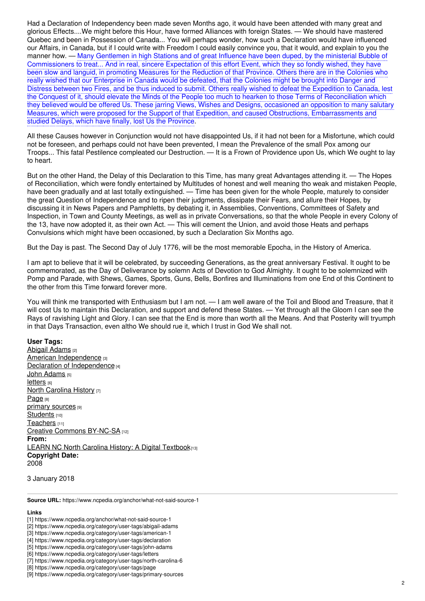Had a Declaration of Independency been made seven Months ago, it would have been attended with many great and glorious Effects....We might before this Hour, have formed Alliances with foreign States. — We should have mastered Quebec and been in Possession of Canada... You will perhaps wonder, how such a Declaration would have influenced our Affairs, in Canada, but if I could write with Freedom I could easily convince you, that it would, and explain to you the manner how. — Many Gentlemen in high Stations and of great Influence have been duped, by the ministerial Bubble of Commissioners to treat... And in real, sincere Expectation of this effort Event, which they so fondly wished, they have been slow and languid, in promoting Measures for the Reduction of that Province. Others there are in the Colonies who really wished that our Enterprise in Canada would be defeated, that the Colonies might be brought into Danger and Distress between two Fires, and be thus induced to submit. Others really wished to defeat the Expedition to Canada, lest the Conquest of it, should elevate the Minds of the People too much to hearken to those Terms of Reconciliation which they believed would be offered Us. These jarring Views, Wishes and Designs, occasioned an opposition to many salutary Measures, which were proposed for the Support of that Expedition, and caused Obstructions, Embarrassments and studied Delays, which have finally, lost Us the Province.

All these Causes however in Conjunction would not have disappointed Us, if it had not been for a Misfortune, which could not be foreseen, and perhaps could not have been prevented, I mean the Prevalence of the small Pox among our Troops... This fatal Pestilence compleated our Destruction. — It is a Frown of Providence upon Us, which We ought to lay to heart.

But on the other Hand, the Delay of this Declaration to this Time, has many great Advantages attending it. — The Hopes of Reconciliation, which were fondly entertained by Multitudes of honest and well meaning tho weak and mistaken People, have been gradually and at last totally extinguished. — Time has been given for the whole People, maturely to consider the great Question of Independence and to ripen their judgments, dissipate their Fears, and allure their Hopes, by discussing it in News Papers and Pamphletts, by debating it, in Assemblies, Conventions, Committees of Safety and Inspection, in Town and County Meetings, as well as in private Conversations, so that the whole People in every Colony of the 13, have now adopted it, as their own Act. — This will cement the Union, and avoid those Heats and perhaps Convulsions which might have been occasioned, by such a Declaration Six Months ago.

But the Day is past. The Second Day of July 1776, will be the most memorable Epocha, in the History of America.

I am apt to believe that it will be celebrated, by succeeding Generations, as the great anniversary Festival. It ought to be commemorated, as the Day of Deliverance by solemn Acts of Devotion to God Almighty. It ought to be solemnized with Pomp and Parade, with Shews, Games, Sports, Guns, Bells, Bonfires and Illuminations from one End of this Continent to the other from this Time forward forever more.

You will think me transported with Enthusiasm but I am not. — I am well aware of the Toil and Blood and Treasure, that it will cost Us to maintain this Declaration, and support and defend these States. — Yet through all the Gloom I can see the Rays of ravishing Light and Glory. I can see that the End is more than worth all the Means. And that Posterity will tryumph in that Days Transaction, even altho We should rue it, which I trust in God We shall not.

#### **User Tags:**

[Abigail](https://www.ncpedia.org/category/user-tags/abigail-adams) Adams [2] American [Independence](https://www.ncpedia.org/category/user-tags/american-1) [3] Declaration of [Independence](https://www.ncpedia.org/category/user-tags/declaration) [4] John [Adams](https://www.ncpedia.org/category/user-tags/john-adams) [5] **[letters](https://www.ncpedia.org/category/user-tags/letters)** [6] **North [Carolina](https://www.ncpedia.org/category/user-tags/north-carolina-6) History [7]** [Page](https://www.ncpedia.org/category/user-tags/page) [8] primary [sources](https://www.ncpedia.org/category/user-tags/primary-sources) [9] [Students](https://www.ncpedia.org/category/user-tags/students) [10] [Teachers](https://www.ncpedia.org/category/user-tags/teachers) [11] Creative Commons [BY-NC-SA](https://www.ncpedia.org/category/user-tags/creative-commons) [12] **From:** LEARN NC North Carolina History: A Digital [Textbook](https://www.ncpedia.org/category/entry-source/learn-nc)[13] **Copyright Date:** 2008

3 January 2018

**Source URL:** https://www.ncpedia.org/anchor/what-not-said-source-1

#### **Links**

- [2] https://www.ncpedia.org/category/user-tags/abigail-adams
- [3] https://www.ncpedia.org/category/user-tags/american-1
- [4] https://www.ncpedia.org/category/user-tags/declaration
- [5] https://www.ncpedia.org/category/user-tags/john-adams

- [7] https://www.ncpedia.org/category/user-tags/north-carolina-6
- [8] https://www.ncpedia.org/category/user-tags/page

<sup>[1]</sup> https://www.ncpedia.org/anchor/what-not-said-source-1

<sup>[6]</sup> https://www.ncpedia.org/category/user-tags/letters

<sup>[9]</sup> https://www.ncpedia.org/category/user-tags/primary-sources